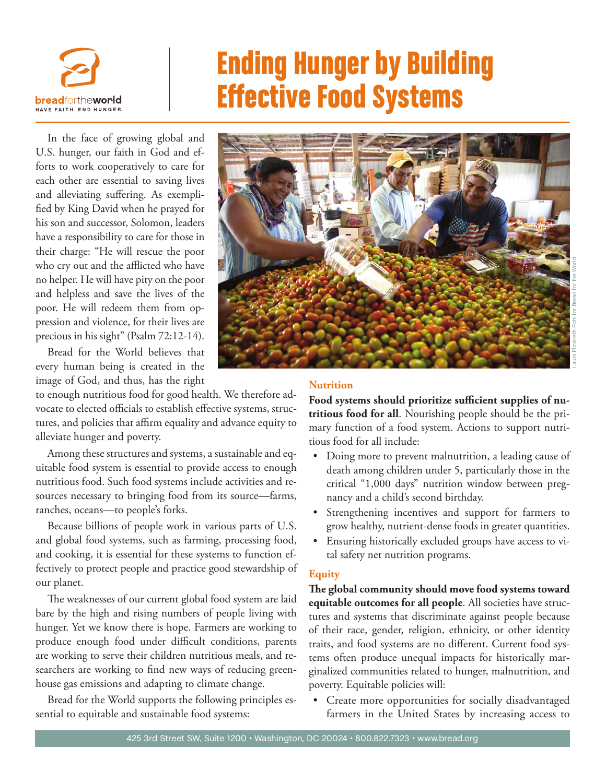

# Ending Hunger by Building Effective Food Systems

In the face of growing global and U.S. hunger, our faith in God and efforts to work cooperatively to care for each other are essential to saving lives and alleviating suffering. As exemplified by King David when he prayed for his son and successor, Solomon, leaders have a responsibility to care for those in their charge: "He will rescue the poor who cry out and the afflicted who have no helper. He will have pity on the poor and helpless and save the lives of the poor. He will redeem them from oppression and violence, for their lives are precious in his sight" (Psalm 72:12-14).

Bread for the World believes that every human being is created in the image of God, and thus, has the right

to enough nutritious food for good health. We therefore advocate to elected officials to establish effective systems, structures, and policies that affirm equality and advance equity to alleviate hunger and poverty.

Among these structures and systems, a sustainable and equitable food system is essential to provide access to enough nutritious food. Such food systems include activities and resources necessary to bringing food from its source—farms, ranches, oceans—to people's forks.

Because billions of people work in various parts of U.S. and global food systems, such as farming, processing food, and cooking, it is essential for these systems to function effectively to protect people and practice good stewardship of our planet.

The weaknesses of our current global food system are laid bare by the high and rising numbers of people living with hunger. Yet we know there is hope. Farmers are working to produce enough food under difficult conditions, parents are working to serve their children nutritious meals, and researchers are working to find new ways of reducing greenhouse gas emissions and adapting to climate change.

Bread for the World supports the following principles essential to equitable and sustainable food systems:



# Laura Elizabeth Pohl for Bread for the World

# **Nutrition**

**Food systems should prioritize sufficient supplies of nutritious food for all**. Nourishing people should be the primary function of a food system. Actions to support nutritious food for all include:

- Doing more to prevent malnutrition, a leading cause of death among children under 5, particularly those in the critical "1,000 days" nutrition window between pregnancy and a child's second birthday.
- Strengthening incentives and support for farmers to grow healthy, nutrient-dense foods in greater quantities.
- Ensuring historically excluded groups have access to vital safety net nutrition programs.

## **Equity**

**The global community should move food systems toward equitable outcomes for all people**. All societies have structures and systems that discriminate against people because of their race, gender, religion, ethnicity, or other identity traits, and food systems are no different. Current food systems often produce unequal impacts for historically marginalized communities related to hunger, malnutrition, and poverty. Equitable policies will:

• Create more opportunities for socially disadvantaged farmers in the United States by increasing access to